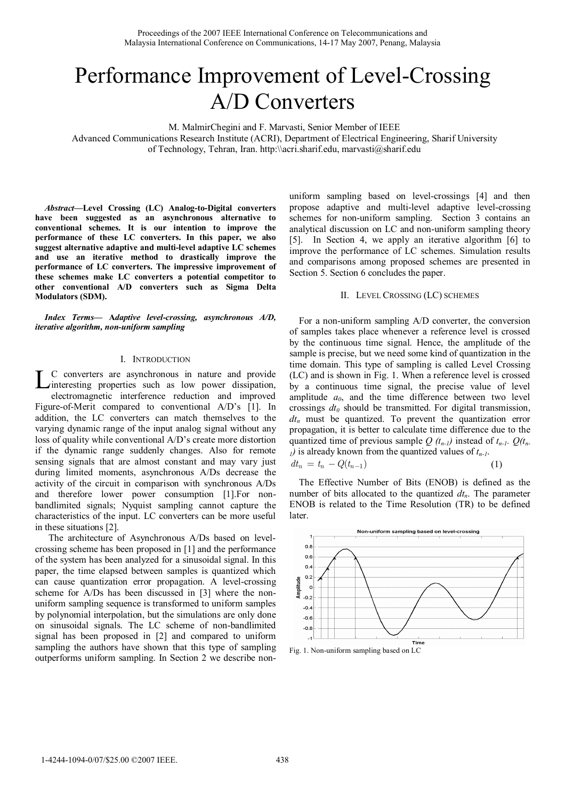# Performance Improvement of Level-Crossing A/D Converters

M. MalmirChegini and F. Marvasti, Senior Member of IEEE

Advanced Communications Research Institute (ACRI), Department of Electrical Engineering, Sharif University of Technology, Tehran, Iran. http:\\acri.sharif.edu, marvasti@sharif.edu

*Abstract***—Level Crossing (LC) Analog-to-Digital converters have been suggested as an asynchronous alternative to conventional schemes. It is our intention to improve the performance of these LC converters. In this paper, we also suggest alternative adaptive and multi-level adaptive LC schemes and use an iterative method to drastically improve the performance of LC converters. The impressive improvement of these schemes make LC converters a potential competitor to other conventional A/D converters such as Sigma Delta Modulators (SDM).** 

*Index Terms***— A***daptive level-crossing, asynchronous A/D, iterative algorithm, non-uniform sampling* 

#### I. INTRODUCTION

C converters are asynchronous in nature and provide L C converters are asynchronous in nature and provide interesting properties such as low power dissipation, electromagnetic interference reduction and improved Figure-of-Merit compared to conventional A/D's [1]. In addition, the LC converters can match themselves to the varying dynamic range of the input analog signal without any loss of quality while conventional A/D's create more distortion if the dynamic range suddenly changes. Also for remote sensing signals that are almost constant and may vary just during limited moments, asynchronous A/Ds decrease the activity of the circuit in comparison with synchronous A/Ds and therefore lower power consumption [1].For nonbandlimited signals; Nyquist sampling cannot capture the characteristics of the input. LC converters can be more useful in these situations [2].

The architecture of Asynchronous A/Ds based on levelcrossing scheme has been proposed in [1] and the performance of the system has been analyzed for a sinusoidal signal. In this paper, the time elapsed between samples is quantized which can cause quantization error propagation. A level-crossing scheme for A/Ds has been discussed in [3] where the nonuniform sampling sequence is transformed to uniform samples by polynomial interpolation, but the simulations are only done on sinusoidal signals. The LC scheme of non-bandlimited signal has been proposed in [2] and compared to uniform sampling the authors have shown that this type of sampling outperforms uniform sampling. In Section 2 we describe non-

uniform sampling based on level-crossings [4] and then propose adaptive and multi-level adaptive level-crossing schemes for non-uniform sampling. Section 3 contains an analytical discussion on LC and non-uniform sampling theory [5]. In Section 4, we apply an iterative algorithm [6] to improve the performance of LC schemes. Simulation results and comparisons among proposed schemes are presented in Section 5. Section 6 concludes the paper.

### II. LEVEL CROSSING (LC) SCHEMES

For a non-uniform sampling A/D converter, the conversion of samples takes place whenever a reference level is crossed by the continuous time signal. Hence, the amplitude of the sample is precise, but we need some kind of quantization in the time domain. This type of sampling is called Level Crossing (LC) and is shown in Fig. 1. When a reference level is crossed by a continuous time signal, the precise value of level amplitude  $a_0$ , and the time difference between two level crossings  $dt_0$  should be transmitted. For digital transmission,  $dt_n$  must be quantized. To prevent the quantization error propagation, it is better to calculate time difference due to the quantized time of previous sample  $Q(t_{n-l})$  instead of  $t_{n-l}$ .  $Q(t_n)$  $<sub>1</sub>$ ) is already known from the quantized values of  $t_{n-1}$ .</sub>  $dt_n = t_n - Q(t_{n-1})$  (1)

The Effective Number of Bits (ENOB) is defined as the number of bits allocated to the quantized  $dt_n$ . The parameter ENOB is related to the Time Resolution (TR) to be defined later.



Fig. 1. Non-uniform sampling based on LC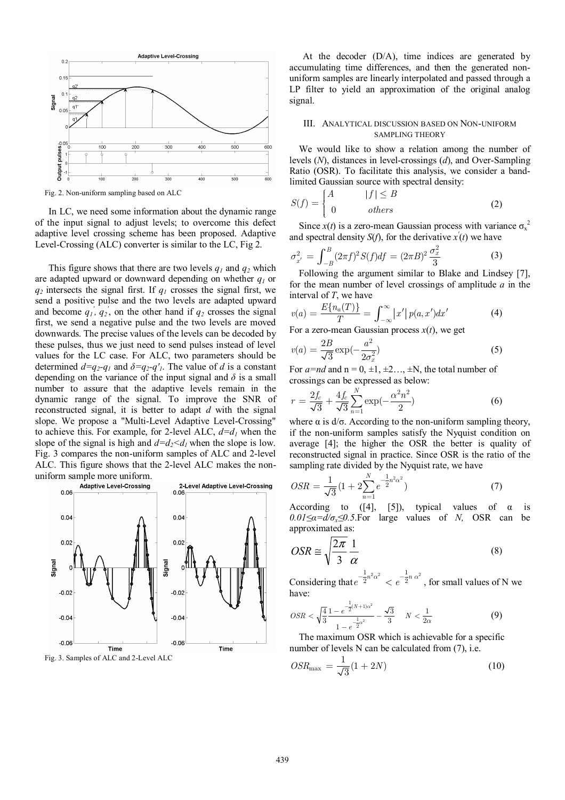

Fig. 2. Non-uniform sampling based on ALC

In LC, we need some information about the dynamic range of the input signal to adjust levels; to overcome this defect adaptive level crossing scheme has been proposed. Adaptive Level-Crossing (ALC) converter is similar to the LC, Fig 2.

This figure shows that there are two levels  $q_1$  and  $q_2$  which are adapted upward or downward depending on whether *q1* or *q2* intersects the signal first. If *q1* crosses the signal first, we send a positive pulse and the two levels are adapted upward and become  $q_1$ <sup>'</sup>,  $q_2$ <sup>'</sup>, on the other hand if  $q_2$  crosses the signal first, we send a negative pulse and the two levels are moved downwards. The precise values of the levels can be decoded by these pulses, thus we just need to send pulses instead of level values for the LC case. For ALC, two parameters should be determined  $d=q_2-q_1$  and  $\delta=q_2-q'_1$ . The value of *d* is a constant depending on the variance of the input signal and  $\delta$  is a small number to assure that the adaptive levels remain in the dynamic range of the signal. To improve the SNR of reconstructed signal, it is better to adapt *d* with the signal slope. We propose a "Multi-Level Adaptive Level-Crossing" to achieve this. For example, for 2-level ALC,  $d=d_1$  when the slope of the signal is high and  $d=d_2 < d_1$  when the slope is low. Fig. 3 compares the non-uniform samples of ALC and 2-level ALC. This figure shows that the 2-level ALC makes the non-



Fig. 3. Samples of ALC and 2-Level ALC

At the decoder (D/A), time indices are generated by accumulating time differences, and then the generated nonuniform samples are linearly interpolated and passed through a LP filter to yield an approximation of the original analog signal.

## III. ANALYTICAL DISCUSSION BASED ON NON-UNIFORM SAMPLING THEORY

We would like to show a relation among the number of levels (*N*), distances in level-crossings (*d*), and Over-Sampling Ratio (OSR). To facilitate this analysis, we consider a bandlimited Gaussian source with spectral density:

$$
S(f) = \begin{cases} A & |f| \le B \\ 0 & others \end{cases}
$$
 (2)

Since  $x(t)$  is a zero-mean Gaussian process with variance  $\sigma_x^2$ and spectral density  $S(f)$ , for the derivative  $x'(t)$  we have

$$
\sigma_{x'}^2 = \int_{-B}^{B} (2\pi f)^2 S(f) df = (2\pi B)^2 \frac{\sigma_x^2}{3}
$$
 (3)

Following the argument similar to Blake and Lindsey [7], for the mean number of level crossings of amplitude *a* in the interval of *T*, we have

$$
v(a) = \frac{E\{n_a(T)\}}{T} = \int_{-\infty}^{\infty} |x'| \, p(a, x') dx' \tag{4}
$$

For a zero-mean Gaussian process *x*(*t*), we get

$$
v(a) = \frac{2B}{\sqrt{3}} \exp(-\frac{a^2}{2\sigma_x^2})
$$
\n(5)

For  $a=nd$  and  $n = 0, \pm 1, \pm 2, \ldots, \pm N$ , the total number of crossings can be expressed as below:

$$
r = \frac{2f_c}{\sqrt{3}} + \frac{4f_c}{\sqrt{3}} \sum_{n=1}^{N} \exp(-\frac{\alpha^2 n^2}{2})
$$
 (6)

where  $\alpha$  is  $d/\sigma$ . According to the non-uniform sampling theory, if the non-uniform samples satisfy the Nyquist condition on average [4]; the higher the OSR the better is quality of reconstructed signal in practice. Since OSR is the ratio of the sampling rate divided by the Nyquist rate, we have

$$
OSR = \frac{1}{\sqrt{3}} \left( 1 + 2 \sum_{n=1}^{N} e^{-\frac{1}{2}n^2 \alpha^2} \right)
$$
 (7)

According to ([4], [5]), typical values of  $\alpha$  is  $0.01 \le \alpha = d/\sigma_x \le 0.5$ . For large values of *N,* OSR can be approximated as:

$$
OSR \cong \sqrt{\frac{2\pi}{3}} \frac{1}{\alpha} \tag{8}
$$

Considering that  $e^{-\frac{1}{2}n^2\alpha^2} < e^{-\frac{1}{2}n\alpha^2}$ , for small values of N we have:

$$
OSR < \sqrt{\frac{4}{3}} \frac{1 - e^{-\frac{1}{2}(N+1)\alpha^2}}{1 - e^{-\frac{1}{2}\alpha^2}} - \frac{\sqrt{3}}{3} \quad N < \frac{1}{2\alpha} \tag{9}
$$

The maximum OSR which is achievable for a specific number of levels N can be calculated from (7), i.e.

$$
OSR_{\text{max}} = \frac{1}{\sqrt{3}}(1+2N) \tag{10}
$$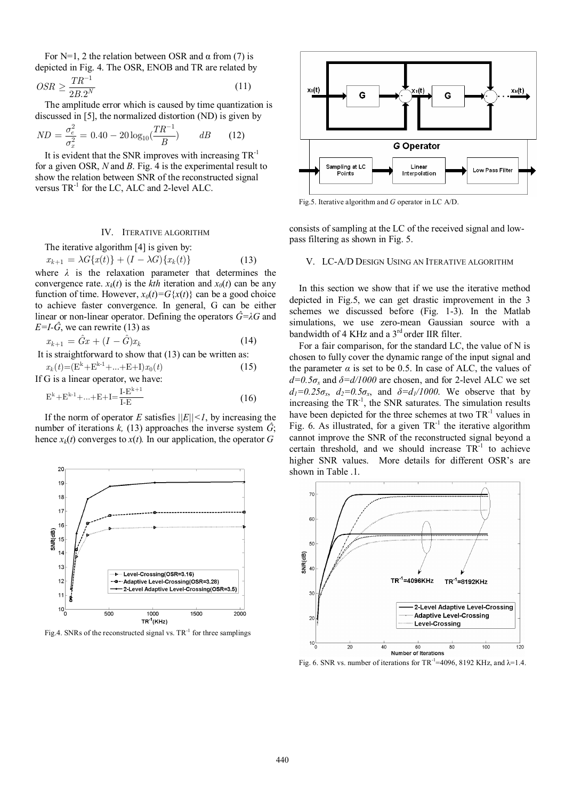For N=1, 2 the relation between OSR and  $\alpha$  from (7) is depicted in Fig. 4. The OSR, ENOB and TR are related by

$$
OSR \ge \frac{TR^{-1}}{2B.2^N} \tag{11}
$$

The amplitude error which is caused by time quantization is discussed in [5], the normalized distortion (ND) is given by

$$
ND = \frac{\sigma_e^2}{\sigma_x^2} = 0.40 - 20 \log_{10} \left(\frac{TR^{-1}}{B}\right) \qquad dB \qquad (12)
$$

It is evident that the SNR improves with increasing  $TR^{-1}$ for a given OSR, *N* and *B*. Fig. 4 is the experimental result to show the relation between SNR of the reconstructed signal versus  $TR^{-1}$  for the LC, ALC and 2-level ALC.

## IV. ITERATIVE ALGORITHM

The iterative algorithm [4] is given by:

 $x_{k+1} = \lambda G\{x(t)\} + (I - \lambda G)\{x_k(t)\}$  (13) where  $\lambda$  is the relaxation parameter that determines the convergence rate.  $x_k(t)$  is the *kth* iteration and  $x_0(t)$  can be any function of time. However,  $x_0(t) = G\{x(t)\}\)$  can be a good choice to achieve faster convergence. In general, G can be either linear or non-linear operator. Defining the operators  $\hat{G} = \lambda G$  and  $E=I-G$ , we can rewrite (13) as

$$
x_{k+1} = \hat{G}x + (I - \hat{G})x_k \tag{14}
$$

It is straightforward to show that (13) can be written as:

$$
x_k(t) = (E^k + E^{k-1} + \dots + E + I)x_0(t)
$$
  
If G is a linear operator, we have:  

$$
I^{E^{k+1}}
$$
 (15)

$$
E^{k} + E^{k-1} + \dots + E + I = \frac{I - E^{k+1}}{I - E}
$$
 (16)

If the norm of operator *E* satisfies  $||E|| \leq 1$ , by increasing the number of iterations  $k$ , (13) approaches the inverse system  $\tilde{G}$ ; hence  $x_k(t)$  converges to  $x(t)$ . In our application, the operator *G* 



Fig.4. SNRs of the reconstructed signal vs.  $TR^{-1}$  for three samplings



Fig.5. Iterative algorithm and *G* operator in LC A/D.

consists of sampling at the LC of the received signal and lowpass filtering as shown in Fig. 5.

#### V. LC-A/D DESIGN USING AN ITERATIVE ALGORITHM

In this section we show that if we use the iterative method depicted in Fig.5, we can get drastic improvement in the 3 schemes we discussed before (Fig. 1-3). In the Matlab simulations, we use zero-mean Gaussian source with a bandwidth of 4 KHz and a  $3<sup>rd</sup>$  order IIR filter.

For a fair comparison, for the standard LC, the value of N is chosen to fully cover the dynamic range of the input signal and the parameter  $\alpha$  is set to be 0.5. In case of ALC, the values of  $d=0.5\sigma_x$  and  $\delta=d/1000$  are chosen, and for 2-level ALC we set  $d_1=0.25\sigma_x$ ,  $d_2=0.5\sigma_x$ , and  $\delta=d_1/1000$ . We observe that by increasing the  $TR^{-1}$ , the SNR saturates. The simulation results have been depicted for the three schemes at two  $TR^{-1}$  values in Fig. 6. As illustrated, for a given  $TR^{-1}$  the iterative algorithm cannot improve the SNR of the reconstructed signal beyond a certain threshold, and we should increase  $TR^{-1}$  to achieve higher SNR values. More details for different OSR's are shown in Table .1.



Fig. 6. SNR vs. number of iterations for TR<sup>-1</sup>=4096, 8192 KHz, and  $\lambda$ =1.4.